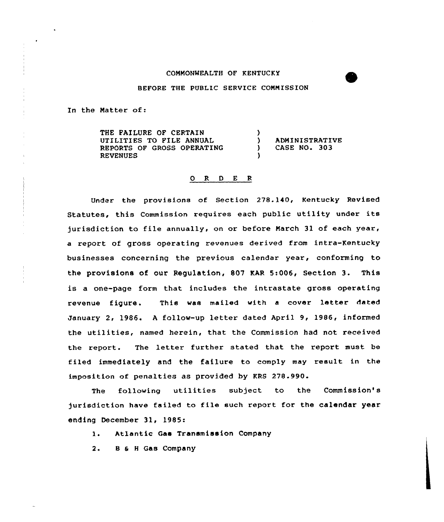## COMMONWEALTH OF KENTUCKY

## BEFORE THE PUBLIC SERVICE COMMISSION

In the Matter of:

THE FAILURE OF CERTAIN UTILITIES TO FILE ANNUAL REPORTS OF GROSS OPERATING REVENUES )<br>) ) ADMINISTRATIVE<br>) CASE NO. 303 ) CASE NO. 303 )

## 0 <sup>R</sup> <sup>D</sup> E <sup>R</sup>

Under the provisions of Section 278.140, Kentucky Revised Statutes, this Commission requires each public utility under its jurisdiction to file annually, on or before March 31 of each year, a report of gross operating revenues derived from intra-Kentucky businesses concerning the previous calendar year, conforming to the provisions of our Regulation, 807 KAR 5:006, Section 3. This is a one-page form that includes the intrastate gross operating revenue figure. This was mailed with <sup>a</sup> cover letter dated January 2, 1986. <sup>A</sup> follow-up letter dated April 9, 1986, informed the utilities, named herein, that the Commission had not received the report. The letter further stated that the report must be filed immediately and the failure to comply may result in the imposition of penalties as provided by KRS 278.990.

The following utilities subject to the Commission' jurisdiction have failed to file such report for the calender year ending December 31, 1985:

1. Atlantic Gas Transmission Company

2. <sup>B</sup> 6 <sup>H</sup> Gas Company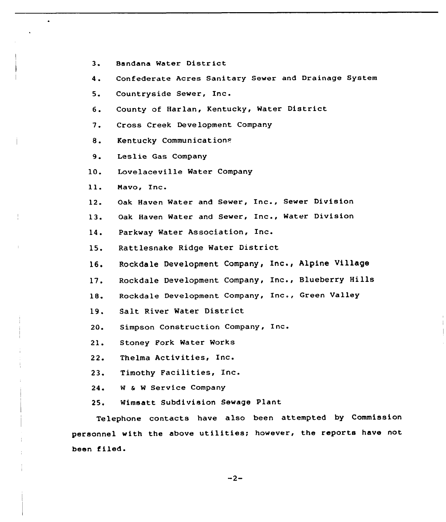- 3. Bandana Water Distr ict
- 4. Confederate Acres Sanitary Sewer and Drainage System
- 5. Countryside Sewer, Inc.
- 6. County of Harlan, Kentucky, Water District
- 7. Cross Creek Development Company
- 8. Kentucky Communications
- 9. Leslie Gas Company
- 10. Lovelaceville Water Company
- ll. Mavo, Inc.
- 12. Oak Haven Water and Sewer, Inc., Sewer Division
- 13. Oak Haven Water and Sewer, Inc., Water Division
- 14. Parkway Water Association, Inc. Ines

15. Rattlesnake Ridge Water District

- 16. Rockdale Development Company, Inc., Alpine Village
- 17. Rockdale Development Company, Inc., Blueberry Hills
- 18. Rockdale Development Company, Inc., Green Valley
- 19. Salt River Water District
- 20. Simpson Construction Company, Inc.
- 21. Stoney Pork Water Works
- 22. Thelma Activities, Inc.
- 23. Timothy Facilities, Inc.
- 24. <sup>W</sup> & <sup>W</sup> Service Company
- 25. Wimsatt Subdivision Sewage Plant

Telephone contacts have also been attempted by Commission personnel with the above utilities; however, the reports have not been filed.

 $-2-$